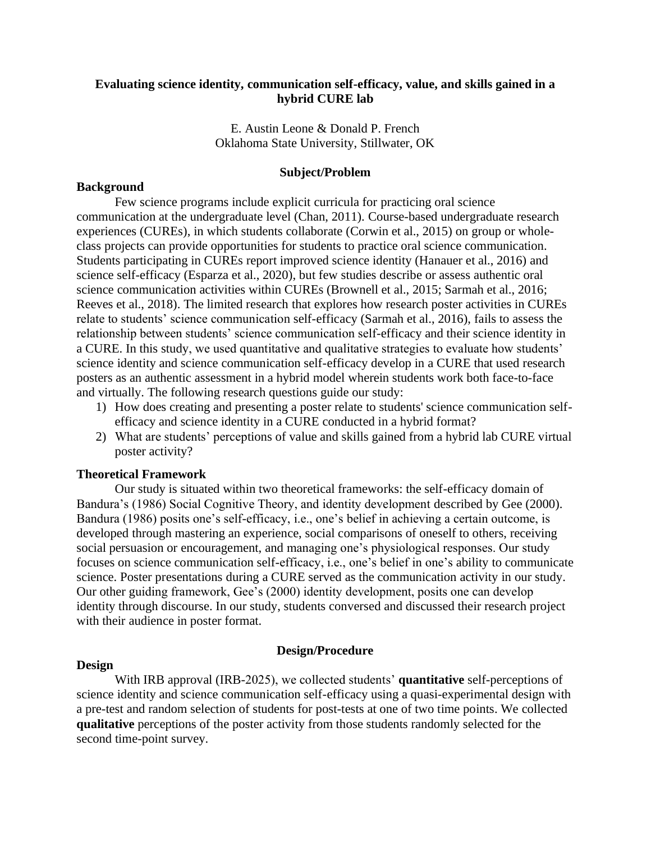# **Evaluating science identity, communication self-efficacy, value, and skills gained in a hybrid CURE lab**

E. Austin Leone & Donald P. French Oklahoma State University, Stillwater, OK

#### **Subject/Problem**

### **Background**

Few science programs include explicit curricula for practicing oral science communication at the undergraduate level (Chan, 2011). Course-based undergraduate research experiences (CUREs), in which students collaborate (Corwin et al., 2015) on group or wholeclass projects can provide opportunities for students to practice oral science communication. Students participating in CUREs report improved science identity (Hanauer et al., 2016) and science self-efficacy (Esparza et al., 2020), but few studies describe or assess authentic oral science communication activities within CUREs (Brownell et al., 2015; Sarmah et al., 2016; Reeves et al., 2018). The limited research that explores how research poster activities in CUREs relate to students' science communication self-efficacy (Sarmah et al., 2016), fails to assess the relationship between students' science communication self-efficacy and their science identity in a CURE. In this study, we used quantitative and qualitative strategies to evaluate how students' science identity and science communication self-efficacy develop in a CURE that used research posters as an authentic assessment in a hybrid model wherein students work both face-to-face and virtually. The following research questions guide our study:

- 1) How does creating and presenting a poster relate to students' science communication selfefficacy and science identity in a CURE conducted in a hybrid format?
- 2) What are students' perceptions of value and skills gained from a hybrid lab CURE virtual poster activity?

#### **Theoretical Framework**

Our study is situated within two theoretical frameworks: the self-efficacy domain of Bandura's (1986) Social Cognitive Theory, and identity development described by Gee (2000). Bandura (1986) posits one's self-efficacy, i.e., one's belief in achieving a certain outcome, is developed through mastering an experience, social comparisons of oneself to others, receiving social persuasion or encouragement, and managing one's physiological responses. Our study focuses on science communication self-efficacy, i.e., one's belief in one's ability to communicate science. Poster presentations during a CURE served as the communication activity in our study. Our other guiding framework, Gee's (2000) identity development, posits one can develop identity through discourse. In our study, students conversed and discussed their research project with their audience in poster format.

### **Design/Procedure**

#### **Design**

With IRB approval (IRB-2025), we collected students' **quantitative** self-perceptions of science identity and science communication self-efficacy using a quasi-experimental design with a pre-test and random selection of students for post-tests at one of two time points. We collected **qualitative** perceptions of the poster activity from those students randomly selected for the second time-point survey.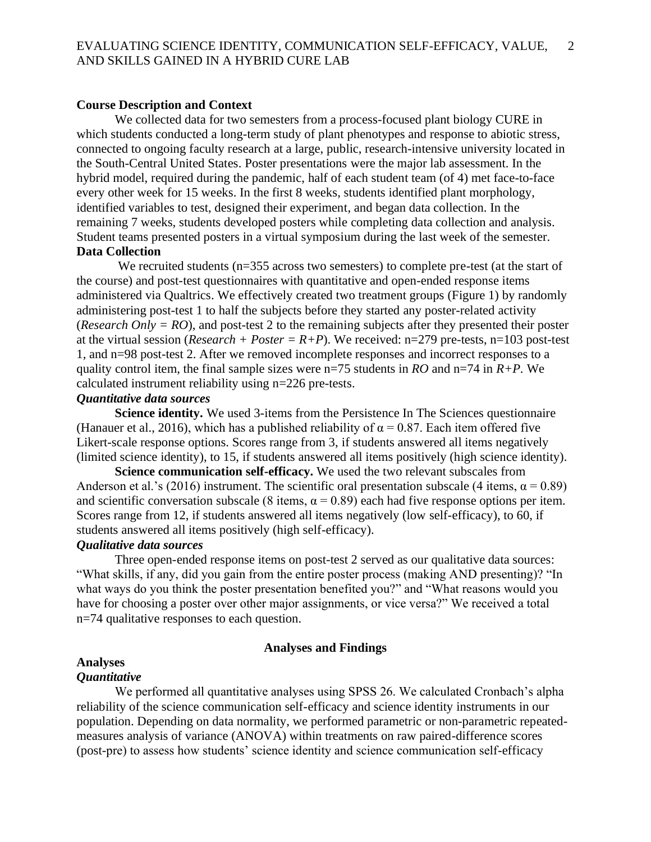# **Course Description and Context**

We collected data for two semesters from a process-focused plant biology CURE in which students conducted a long-term study of plant phenotypes and response to abiotic stress, connected to ongoing faculty research at a large, public, research-intensive university located in the South-Central United States. Poster presentations were the major lab assessment. In the hybrid model, required during the pandemic, half of each student team (of 4) met face-to-face every other week for 15 weeks. In the first 8 weeks, students identified plant morphology, identified variables to test, designed their experiment, and began data collection. In the remaining 7 weeks, students developed posters while completing data collection and analysis. Student teams presented posters in a virtual symposium during the last week of the semester. **Data Collection**

We recruited students (n=355 across two semesters) to complete pre-test (at the start of the course) and post-test questionnaires with quantitative and open-ended response items administered via Qualtrics. We effectively created two treatment groups (Figure 1) by randomly administering post-test 1 to half the subjects before they started any poster-related activity (*Research Only = RO*), and post-test 2 to the remaining subjects after they presented their poster at the virtual session (*Research + Poster* =  $R+P$ ). We received: n=279 pre-tests, n=103 post-test 1, and n=98 post-test 2. After we removed incomplete responses and incorrect responses to a quality control item, the final sample sizes were n=75 students in *RO* and n=74 in *R+P*. We calculated instrument reliability using n=226 pre-tests.

# *Quantitative data sources*

**Science identity.** We used 3-items from the Persistence In The Sciences questionnaire (Hanauer et al., 2016), which has a published reliability of  $\alpha = 0.87$ . Each item offered five Likert-scale response options. Scores range from 3, if students answered all items negatively (limited science identity), to 15, if students answered all items positively (high science identity).

**Science communication self-efficacy.** We used the two relevant subscales from Anderson et al.'s (2016) instrument. The scientific oral presentation subscale (4 items,  $\alpha = 0.89$ ) and scientific conversation subscale (8 items,  $\alpha = 0.89$ ) each had five response options per item. Scores range from 12, if students answered all items negatively (low self-efficacy), to 60, if students answered all items positively (high self-efficacy).

# *Qualitative data sources*

Three open-ended response items on post-test 2 served as our qualitative data sources: "What skills, if any, did you gain from the entire poster process (making AND presenting)? "In what ways do you think the poster presentation benefited you?" and "What reasons would you have for choosing a poster over other major assignments, or vice versa?" We received a total n=74 qualitative responses to each question.

#### **Analyses and Findings**

### **Analyses**

# *Quantitative*

We performed all quantitative analyses using SPSS 26. We calculated Cronbach's alpha reliability of the science communication self-efficacy and science identity instruments in our population. Depending on data normality, we performed parametric or non-parametric repeatedmeasures analysis of variance (ANOVA) within treatments on raw paired-difference scores (post-pre) to assess how students' science identity and science communication self-efficacy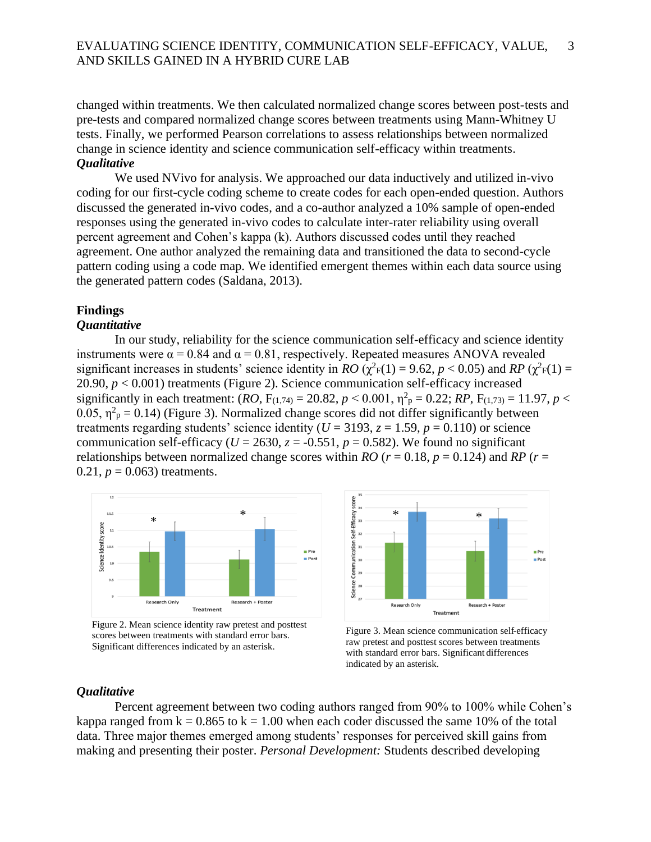changed within treatments. We then calculated normalized change scores between post-tests and pre-tests and compared normalized change scores between treatments using Mann-Whitney U tests. Finally, we performed Pearson correlations to assess relationships between normalized change in science identity and science communication self-efficacy within treatments. *Qualitative*

We used NVivo for analysis. We approached our data inductively and utilized in-vivo coding for our first-cycle coding scheme to create codes for each open-ended question. Authors discussed the generated in-vivo codes, and a co-author analyzed a 10% sample of open-ended responses using the generated in-vivo codes to calculate inter-rater reliability using overall percent agreement and Cohen's kappa (k). Authors discussed codes until they reached agreement. One author analyzed the remaining data and transitioned the data to second-cycle pattern coding using a code map. We identified emergent themes within each data source using the generated pattern codes (Saldana, 2013).

#### **Findings**

# *Quantitative*

In our study, reliability for the science communication self-efficacy and science identity instruments were  $\alpha = 0.84$  and  $\alpha = 0.81$ , respectively. Repeated measures ANOVA revealed significant increases in students' science identity in *RO* ( $\chi^2$ <sub>F</sub>(1) = 9.62, *p* < 0.05) and *RP* ( $\chi^2$ <sub>F</sub>(1) = 20.90, *p* < 0.001) treatments (Figure 2). Science communication self-efficacy increased significantly in each treatment:  $(RO, F_{(1,74)} = 20.82, p \lt 0.001, \eta^2 \text{p} = 0.22; RP, F_{(1,73)} = 11.97, p \lt 0.001$ 0.05,  $\eta^2$ <sub>p</sub> = 0.14) (Figure 3). Normalized change scores did not differ significantly between treatments regarding students' science identity ( $U = 3193$ ,  $z = 1.59$ ,  $p = 0.110$ ) or science communication self-efficacy ( $U = 2630$ ,  $z = -0.551$ ,  $p = 0.582$ ). We found no significant relationships between normalized change scores within *RO* ( $r = 0.18$ ,  $p = 0.124$ ) and *RP* ( $r =$ 0.21,  $p = 0.063$ ) treatments.



Figure 2. Mean science identity raw pretest and posttest scores between treatments with standard error bars. Significant differences indicated by an asterisk.



Figure 3. Mean science communication self-efficacy raw pretest and posttest scores between treatments with standard error bars. Significant differences indicated by an asterisk.

### *Qualitative*

Percent agreement between two coding authors ranged from 90% to 100% while Cohen's kappa ranged from  $k = 0.865$  to  $k = 1.00$  when each coder discussed the same 10% of the total data. Three major themes emerged among students' responses for perceived skill gains from making and presenting their poster. *Personal Development:* Students described developing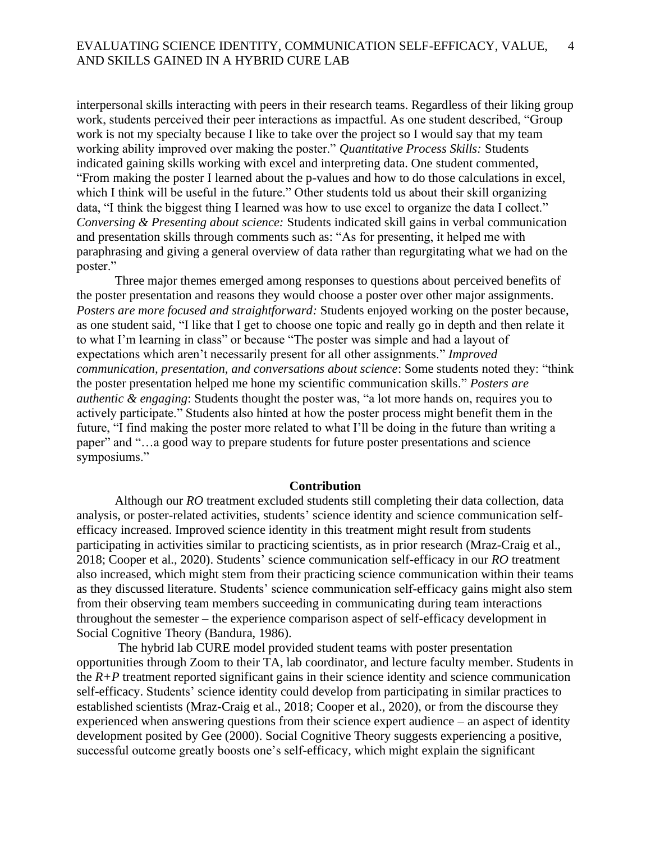#### EVALUATING SCIENCE IDENTITY, COMMUNICATION SELF-EFFICACY, VALUE, AND SKILLS GAINED IN A HYBRID CURE LAB 4

interpersonal skills interacting with peers in their research teams. Regardless of their liking group work, students perceived their peer interactions as impactful. As one student described, "Group work is not my specialty because I like to take over the project so I would say that my team working ability improved over making the poster." *Quantitative Process Skills:* Students indicated gaining skills working with excel and interpreting data. One student commented, "From making the poster I learned about the p-values and how to do those calculations in excel, which I think will be useful in the future." Other students told us about their skill organizing data, "I think the biggest thing I learned was how to use excel to organize the data I collect." *Conversing & Presenting about science:* Students indicated skill gains in verbal communication and presentation skills through comments such as: "As for presenting, it helped me with paraphrasing and giving a general overview of data rather than regurgitating what we had on the poster."

Three major themes emerged among responses to questions about perceived benefits of the poster presentation and reasons they would choose a poster over other major assignments. *Posters are more focused and straightforward:* Students enjoyed working on the poster because, as one student said, "I like that I get to choose one topic and really go in depth and then relate it to what I'm learning in class" or because "The poster was simple and had a layout of expectations which aren't necessarily present for all other assignments." *Improved communication, presentation, and conversations about science*: Some students noted they: "think the poster presentation helped me hone my scientific communication skills." *Posters are authentic & engaging*: Students thought the poster was, "a lot more hands on, requires you to actively participate." Students also hinted at how the poster process might benefit them in the future, "I find making the poster more related to what I'll be doing in the future than writing a paper" and "…a good way to prepare students for future poster presentations and science symposiums."

#### **Contribution**

Although our *RO* treatment excluded students still completing their data collection, data analysis, or poster-related activities, students' science identity and science communication selfefficacy increased. Improved science identity in this treatment might result from students participating in activities similar to practicing scientists, as in prior research (Mraz-Craig et al., 2018; Cooper et al., 2020). Students' science communication self-efficacy in our *RO* treatment also increased, which might stem from their practicing science communication within their teams as they discussed literature. Students' science communication self-efficacy gains might also stem from their observing team members succeeding in communicating during team interactions throughout the semester – the experience comparison aspect of self-efficacy development in Social Cognitive Theory (Bandura, 1986).

The hybrid lab CURE model provided student teams with poster presentation opportunities through Zoom to their TA, lab coordinator, and lecture faculty member. Students in the  $R+P$  treatment reported significant gains in their science identity and science communication self-efficacy. Students' science identity could develop from participating in similar practices to established scientists (Mraz-Craig et al., 2018; Cooper et al., 2020), or from the discourse they experienced when answering questions from their science expert audience – an aspect of identity development posited by Gee (2000). Social Cognitive Theory suggests experiencing a positive, successful outcome greatly boosts one's self-efficacy, which might explain the significant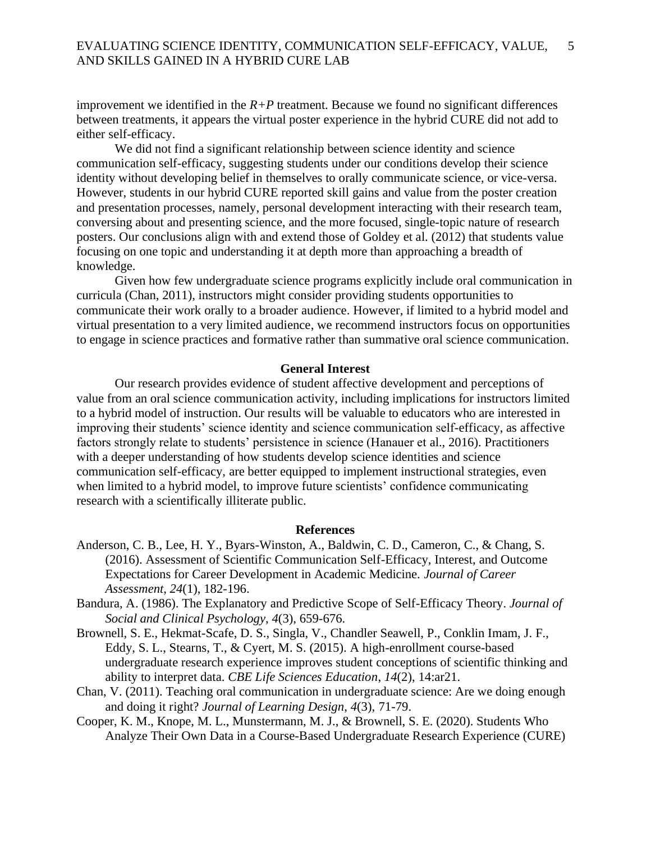improvement we identified in the  $R+P$  treatment. Because we found no significant differences between treatments, it appears the virtual poster experience in the hybrid CURE did not add to either self-efficacy.

We did not find a significant relationship between science identity and science communication self-efficacy, suggesting students under our conditions develop their science identity without developing belief in themselves to orally communicate science, or vice-versa. However, students in our hybrid CURE reported skill gains and value from the poster creation and presentation processes, namely, personal development interacting with their research team, conversing about and presenting science, and the more focused, single-topic nature of research posters. Our conclusions align with and extend those of Goldey et al. (2012) that students value focusing on one topic and understanding it at depth more than approaching a breadth of knowledge.

Given how few undergraduate science programs explicitly include oral communication in curricula (Chan, 2011), instructors might consider providing students opportunities to communicate their work orally to a broader audience. However, if limited to a hybrid model and virtual presentation to a very limited audience, we recommend instructors focus on opportunities to engage in science practices and formative rather than summative oral science communication.

# **General Interest**

Our research provides evidence of student affective development and perceptions of value from an oral science communication activity, including implications for instructors limited to a hybrid model of instruction. Our results will be valuable to educators who are interested in improving their students' science identity and science communication self-efficacy, as affective factors strongly relate to students' persistence in science (Hanauer et al., 2016). Practitioners with a deeper understanding of how students develop science identities and science communication self-efficacy, are better equipped to implement instructional strategies, even when limited to a hybrid model, to improve future scientists' confidence communicating research with a scientifically illiterate public.

#### **References**

Anderson, C. B., Lee, H. Y., Byars-Winston, A., Baldwin, C. D., Cameron, C., & Chang, S. (2016). Assessment of Scientific Communication Self-Efficacy, Interest, and Outcome Expectations for Career Development in Academic Medicine. *Journal of Career Assessment*, *24*(1), 182-196.

Bandura, A. (1986). The Explanatory and Predictive Scope of Self-Efficacy Theory. *Journal of Social and Clinical Psychology*, *4*(3), 659-676.

- Brownell, S. E., Hekmat-Scafe, D. S., Singla, V., Chandler Seawell, P., Conklin Imam, J. F., Eddy, S. L., Stearns, T., & Cyert, M. S. (2015). A high-enrollment course-based undergraduate research experience improves student conceptions of scientific thinking and ability to interpret data. *CBE Life Sciences Education*, *14*(2), 14:ar21.
- Chan, V. (2011). Teaching oral communication in undergraduate science: Are we doing enough and doing it right? *Journal of Learning Design*, *4*(3), 71-79.
- Cooper, K. M., Knope, M. L., Munstermann, M. J., & Brownell, S. E. (2020). Students Who Analyze Their Own Data in a Course-Based Undergraduate Research Experience (CURE)